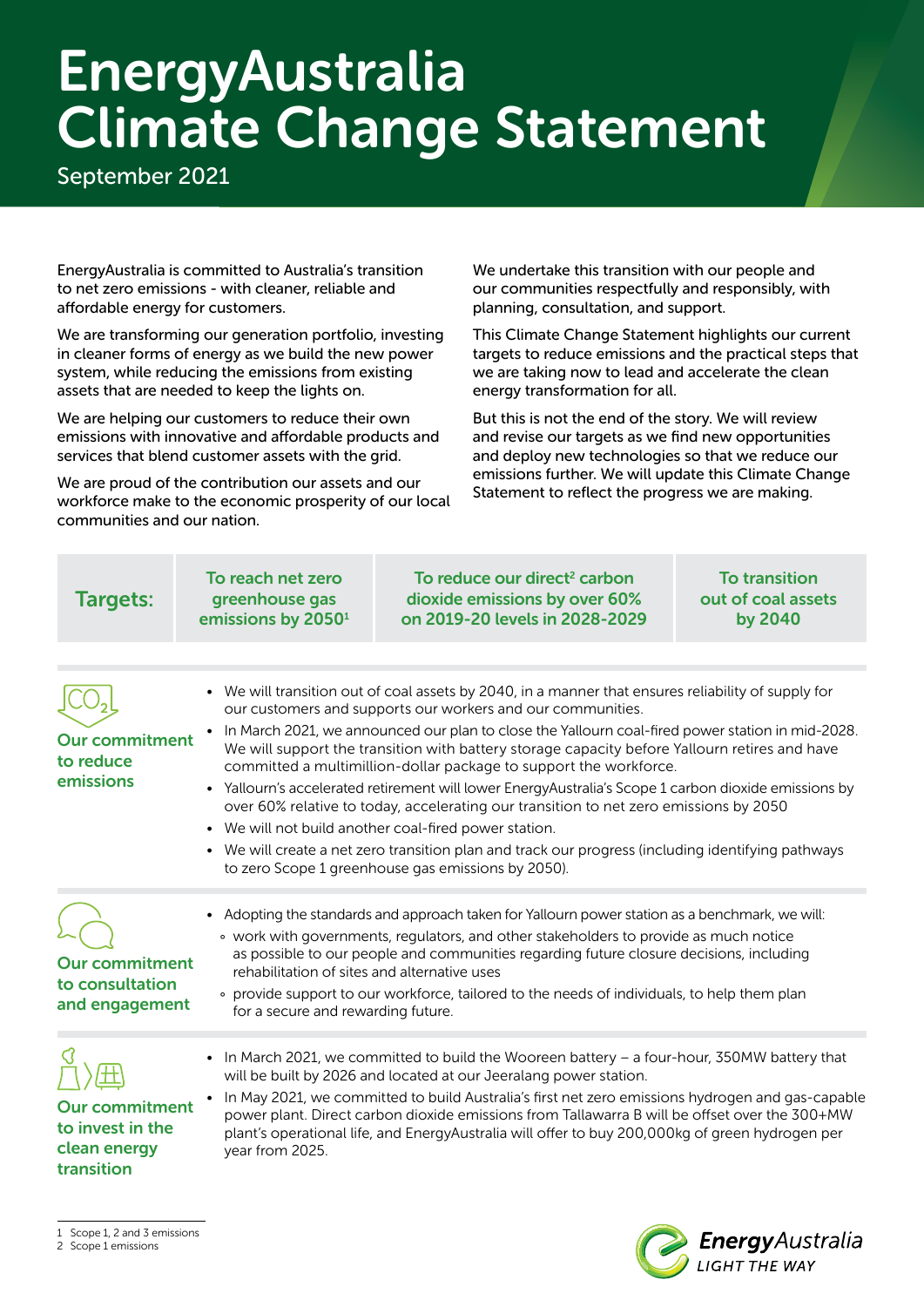## EnergyAustralia Climate Change Statement

September 2021

EnergyAustralia is committed to Australia's transition to net zero emissions - with cleaner, reliable and affordable energy for customers.

We are transforming our generation portfolio, investing in cleaner forms of energy as we build the new power system, while reducing the emissions from existing assets that are needed to keep the lights on.

We are helping our customers to reduce their own emissions with innovative and affordable products and services that blend customer assets with the grid.

We are proud of the contribution our assets and our workforce make to the economic prosperity of our local communities and our nation.

We undertake this transition with our people and our communities respectfully and responsibly, with planning, consultation, and support.

This Climate Change Statement highlights our current targets to reduce emissions and the practical steps that we are taking now to lead and accelerate the clean energy transformation for all.

But this is not the end of the story. We will review and revise our targets as we find new opportunities and deploy new technologies so that we reduce our emissions further. We will update this Climate Change Statement to reflect the progress we are making.

| Targets:                                                                | To reach net zero<br>greenhouse gas<br>emissions by 2050 <sup>1</sup> | To reduce our direct <sup>2</sup> carbon<br>dioxide emissions by over 60%<br>on 2019-20 levels in 2028-2029                                                                                                                                                                                                                                                                                                                                                                                                                                                                                                                                                                                                                                                                                                                                                        | <b>To transition</b><br>out of coal assets<br><b>by 2040</b> |  |
|-------------------------------------------------------------------------|-----------------------------------------------------------------------|--------------------------------------------------------------------------------------------------------------------------------------------------------------------------------------------------------------------------------------------------------------------------------------------------------------------------------------------------------------------------------------------------------------------------------------------------------------------------------------------------------------------------------------------------------------------------------------------------------------------------------------------------------------------------------------------------------------------------------------------------------------------------------------------------------------------------------------------------------------------|--------------------------------------------------------------|--|
| <b>Our commitment</b><br>to reduce<br>emissions                         |                                                                       | • We will transition out of coal assets by 2040, in a manner that ensures reliability of supply for<br>our customers and supports our workers and our communities.<br>In March 2021, we announced our plan to close the Yallourn coal-fired power station in mid-2028.<br>We will support the transition with battery storage capacity before Yallourn retires and have<br>committed a multimillion-dollar package to support the workforce.<br>• Yallourn's accelerated retirement will lower EnergyAustralia's Scope 1 carbon dioxide emissions by<br>over 60% relative to today, accelerating our transition to net zero emissions by 2050<br>• We will not build another coal-fired power station.<br>• We will create a net zero transition plan and track our progress (including identifying pathways<br>to zero Scope 1 greenhouse gas emissions by 2050). |                                                              |  |
| <b>Our commitment</b><br>to consultation<br>and engagement              |                                                                       | • Adopting the standards and approach taken for Yallourn power station as a benchmark, we will:<br>• work with governments, regulators, and other stakeholders to provide as much notice<br>as possible to our people and communities regarding future closure decisions, including<br>rehabilitation of sites and alternative uses<br>• provide support to our workforce, tailored to the needs of individuals, to help them plan<br>for a secure and rewarding future.                                                                                                                                                                                                                                                                                                                                                                                           |                                                              |  |
| <b>Our commitment</b><br>to invest in the<br>clean energy<br>transition | year from 2025.                                                       | • In March 2021, we committed to build the Wooreen battery - a four-hour, 350MW battery that<br>will be built by 2026 and located at our Jeeralang power station.<br>In May 2021, we committed to build Australia's first net zero emissions hydrogen and gas-capable<br>power plant. Direct carbon dioxide emissions from Tallawarra B will be offset over the 300+MW<br>plant's operational life, and EnergyAustralia will offer to buy 200,000kg of green hydrogen per                                                                                                                                                                                                                                                                                                                                                                                          |                                                              |  |